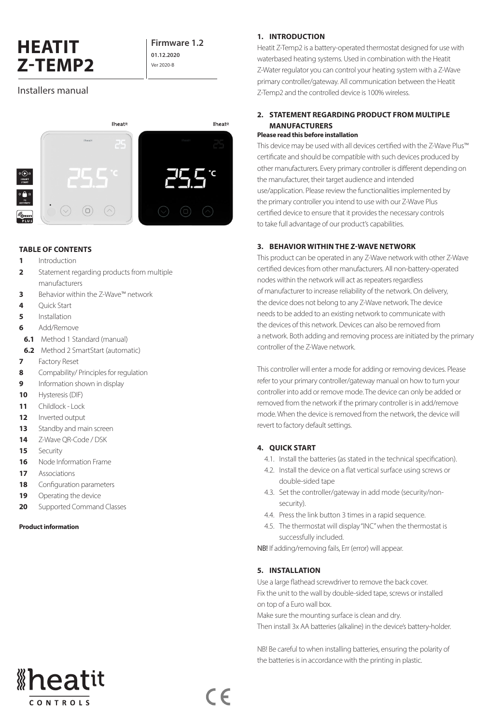# **HEATIT Z-TEMP2**

## **Firmware 1.2**

Ver 2020-B **01.12.2020**

## Installers manual



### **TABLE OF CONTENTS**

- **1** Introduction
- **2** Statement regarding products from multiple manufacturers
- **3** Behavior within the Z-Wave™ network
- **4** Quick Start
- **5** Installation
- **6** Add/Remove
- **6.1** Method 1 Standard (manual)
- **6.2** Method 2 SmartStart (automatic)
- **7** Factory Reset
- **8** Compability/ Principles for regulation
- **9** Information shown in display
- **10** Hysteresis (DIF)
- **11** Childlock Lock
- **12** Inverted output
- **13** Standby and main screen
- **14** Z-Wave QR-Code / DSK
- **15** Security
- **16** Node Information Frame
- **17** Associations
- **18** Configuration parameters
- **19** Operating the device
- **20** Supported Command Classes

#### **Product information**

### **1. INTRODUCTION**

Heatit Z-Temp2 is a battery-operated thermostat designed for use with waterbased heating systems. Used in combination with the Heatit Z-Water regulator you can control your heating system with a Z-Wave primary controller/gateway. All communication between the Heatit Z-Temp2 and the controlled device is 100% wireless.

### **2. STATEMENT REGARDING PRODUCT FROM MULTIPLE MANUFACTURERS**

### **Please read this before installation**

This device may be used with all devices certified with the Z-Wave Plus™ certificate and should be compatible with such devices produced by other manufacturers. Every primary controller is different depending on the manufacturer, their target audience and intended use/application. Please review the functionalities implemented by the primary controller you intend to use with our Z-Wave Plus certified device to ensure that it provides the necessary controls to take full advantage of our product's capabilities.

### **3. BEHAVIOR WITHIN THE Z-WAVE NETWORK**

This product can be operated in any Z-Wave network with other Z-Wave certified devices from other manufacturers. All non-battery-operated nodes within the network will act as repeaters regardless of manufacturer to increase reliability of the network. On delivery, the device does not belong to any Z-Wave network. The device needs to be added to an existing network to communicate with the devices of this network. Devices can also be removed from a network. Both adding and removing process are initiated by the primary controller of the Z-Wave network.

This controller will enter a mode for adding or removing devices. Please refer to your primary controller/gateway manual on how to turn your controller into add or remove mode. The device can only be added or removed from the network if the primary controller is in add/remove mode. When the device is removed from the network, the device will revert to factory default settings.

### **4. QUICK START**

- 4.1. Install the batteries (as stated in the technical specification).
- 4.2. Install the device on a flat vertical surface using screws or double-sided tape
- 4.3. Set the controller/gateway in add mode (security/nonsecurity).
- 4.4. Press the link button 3 times in a rapid sequence.
- 4.5. The thermostat will display "INC" when the thermostat is successfully included.

NB! If adding/removing fails, Err (error) will appear.

### **5. INSTALLATION**

Use a large flathead screwdriver to remove the back cover. Fix the unit to the wall by double-sided tape, screws or installed on top of a Euro wall box.

Make sure the mounting surface is clean and dry. Then install 3x AA batteries (alkaline) in the device's battery-holder.

NB! Be careful to when installing batteries, ensuring the polarity of the batteries is in accordance with the printing in plastic.



 $C \subseteq$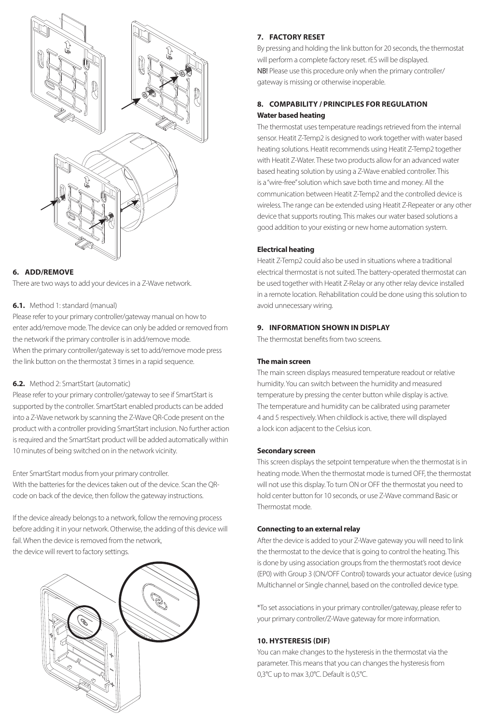

#### **6. ADD/REMOVE**

There are two ways to add your devices in a Z-Wave network.

#### **6.1.** Method 1: standard (manual)

Please refer to your primary controller/gateway manual on how to enter add/remove mode. The device can only be added or removed from the network if the primary controller is in add/remove mode. When the primary controller/gateway is set to add/remove mode press the link button on the thermostat 3 times in a rapid sequence.

#### **6.2.** Method 2: SmartStart (automatic)

Please refer to your primary controller/gateway to see if SmartStart is supported by the controller. SmartStart enabled products can be added into a Z-Wave network by scanning the Z-Wave QR-Code present on the product with a controller providing SmartStart inclusion. No further action is required and the SmartStart product will be added automatically within 10 minutes of being switched on in the network vicinity.

Enter SmartStart modus from your primary controller.

With the batteries for the devices taken out of the device. Scan the QRcode on back of the device, then follow the gateway instructions.

If the device already belongs to a network, follow the removing process before adding it in your network. Otherwise, the adding of this device will fail. When the device is removed from the network, the device will revert to factory settings.



#### **7. FACTORY RESET**

By pressing and holding the link button for 20 seconds, the thermostat will perform a complete factory reset. rES will be displayed. NB! Please use this procedure only when the primary controller/ gateway is missing or otherwise inoperable.

### **8. COMPABILITY / PRINCIPLES FOR REGULATION Water based heating**

The thermostat uses temperature readings retrieved from the internal sensor. Heatit Z-Temp2 is designed to work together with water based heating solutions. Heatit recommends using Heatit Z-Temp2 together with Heatit Z-Water. These two products allow for an advanced water based heating solution by using a Z-Wave enabled controller. This is a "wire-free" solution which save both time and money. All the communication between Heatit Z-Temp2 and the controlled device is wireless. The range can be extended using Heatit Z-Repeater or any other device that supports routing. This makes our water based solutions a good addition to your existing or new home automation system.

#### **Electrical heating**

Heatit Z-Temp2 could also be used in situations where a traditional electrical thermostat is not suited. The battery-operated thermostat can be used together with Heatit Z-Relay or any other relay device installed in a remote location. Rehabilitation could be done using this solution to avoid unnecessary wiring.

#### **9. INFORMATION SHOWN IN DISPLAY**

The thermostat benefits from two screens.

#### **The main screen**

The main screen displays measured temperature readout or relative humidity. You can switch between the humidity and measured temperature by pressing the center button while display is active. The temperature and humidity can be calibrated using parameter 4 and 5 respectively. When childlock is active, there will displayed a lock icon adjacent to the Celsius icon.

#### **Secondary screen**

This screen displays the setpoint temperature when the thermostat is in heating mode. When the thermostat mode is turned OFF, the thermostat will not use this display. To turn ON or OFF the thermostat you need to hold center button for 10 seconds, or use Z-Wave command Basic or Thermostat mode.

#### **Connecting to an external relay**

After the device is added to your Z-Wave gateway you will need to link the thermostat to the device that is going to control the heating. This is done by using association groups from the thermostat's root device (EP0) with Group 3 (ON/OFF Control) towards your actuator device (using Multichannel or Single channel, based on the controlled device type.

\*To set associations in your primary controller/gateway, please refer to your primary controller/Z-Wave gateway for more information.

#### **10. HYSTERESIS (DIF)**

You can make changes to the hysteresis in the thermostat via the parameter. This means that you can changes the hysteresis from 0,3°C up to max 3,0°C. Default is 0,5°C.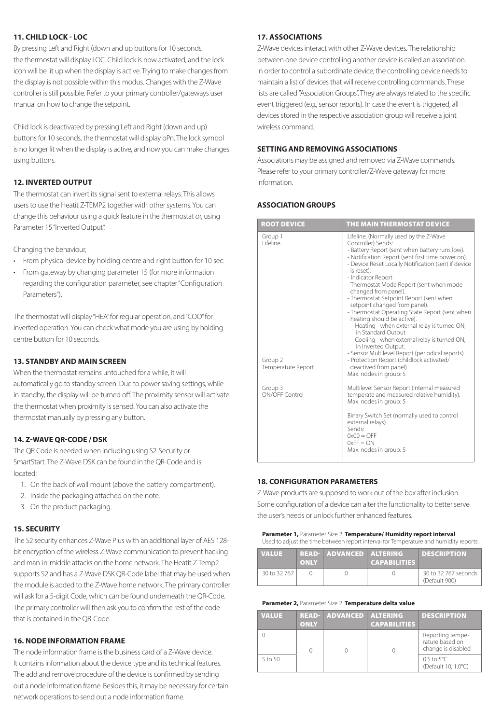#### **11. CHILD LOCK - LOC**

By pressing Left and Right (down and up buttons for 10 seconds, the thermostat will display LOC. Child lock is now activated, and the lock icon will be lit up when the display is active. Trying to make changes from the display is not possible within this modus. Changes with the Z-Wave controller is still possible. Refer to your primary controller/gateways user manual on how to change the setpoint.

Child lock is deactivated by pressing Left and Right (down and up) buttons for 10 seconds, the thermostat will display oPn. The lock symbol is no longer lit when the display is active, and now you can make changes using buttons.

### **12. INVERTED OUTPUT**

The thermostat can invert its signal sent to external relays. This allows users to use the Heatit Z-TEMP2 together with other systems. You can change this behaviour using a quick feature in the thermostat or, using Parameter 15 "Inverted Output".

Changing the behaviour,

- From physical device by holding centre and right button for 10 sec.
- From gateway by changing parameter 15 (for more information regarding the configuration parameter, see chapter "Configuration Parameters").

The thermostat will display "HEA" for regular operation, and "COO" for inverted operation. You can check what mode you are using by holding centre button for 10 seconds.

#### **13. STANDBY AND MAIN SCREEN**

When the thermostat remains untouched for a while, it will automatically go to standby screen. Due to power saving settings, while in standby, the display will be turned off. The proximity sensor will activate the thermostat when proximity is sensed. You can also activate the thermostat manually by pressing any button.

### **14. Z-WAVE QR-CODE / DSK**

The QR Code is needed when including using S2-Security or SmartStart. The Z-Wave DSK can be found in the QR-Code and is located;

- 1. On the back of wall mount (above the battery compartment).
- 2. Inside the packaging attached on the note.
- 3. On the product packaging.

#### **15. SECURITY**

The S2 security enhances Z-Wave Plus with an additional layer of AES 128 bit encryption of the wireless Z-Wave communication to prevent hacking and man-in-middle attacks on the home network. The Heatit Z-Temp2 supports S2 and has a Z-Wave DSK QR-Code label that may be used when the module is added to the Z-Wave home network. The primary controller will ask for a 5-digit Code, which can be found underneath the QR-Code. The primary controller will then ask you to confirm the rest of the code that is contained in the QR-Code.

### **16. NODE INFORMATION FRAME**

The node information frame is the business card of a Z-Wave device. It contains information about the device type and its technical features. The add and remove procedure of the device is confirmed by sending out a node information frame. Besides this, it may be necessary for certain network operations to send out a node information frame.

#### **17. ASSOCIATIONS**

Z-Wave devices interact with other Z-Wave devices. The relationship between one device controlling another device is called an association. In order to control a subordinate device, the controlling device needs to maintain a list of devices that will receive controlling commands. These lists are called "Association Groups". They are always related to the specific event triggered (e.g., sensor reports). In case the event is triggered, all devices stored in the respective association group will receive a joint wireless command.

### **SETTING AND REMOVING ASSOCIATIONS**

Associations may be assigned and removed via Z-Wave commands. Please refer to your primary controller/Z-Wave gateway for more information.

#### **ASSOCIATION GROUPS**

| <b>ROOT DEVICE</b>                                               | <b>THE MAIN THERMOSTAT DEVICE</b>                                                                                                                                                                                                                                                                                                                                                                                                                                                                                                                                                                                                                                                                                                                                                                  |
|------------------------------------------------------------------|----------------------------------------------------------------------------------------------------------------------------------------------------------------------------------------------------------------------------------------------------------------------------------------------------------------------------------------------------------------------------------------------------------------------------------------------------------------------------------------------------------------------------------------------------------------------------------------------------------------------------------------------------------------------------------------------------------------------------------------------------------------------------------------------------|
| Group 1<br>I ifeline<br>Group <sub>2</sub><br>Temperature Report | Lifeline. (Normally used by the Z-Wave<br>Controller) Sends:<br>- Battery Report (sent when battery runs low).<br>- Notification Report (sent first time power on).<br>- Device Reset Locally Notification (sent if device<br>is reset).<br>- Indicator Report<br>- Thermostat Mode Report (sent when mode<br>changed from panel).<br>- Thermostat Setpoint Report (sent when<br>setpoint changed from panel).<br>- Thermostat Operating State Report (sent when<br>heating should be active).<br>- Heating - when external relay is turned ON,<br>in Standard Output<br>- Cooling - when external relay is turned ON,<br>in Inverted Output.<br>- Sensor Multilevel Report (periodical reports).<br>- Protection Report (childlock activated/<br>deactived from panel).<br>Max. nodes in group: 5 |
| Group 3<br>ON/OFF Control                                        | Multilevel Sensor Report (internal measured<br>temperate and measured relative humidity).<br>Max. nodes in group: 5<br>Binary Switch Set (normally used to control<br>external relays).<br>Sends:<br>$0x00 =$ OFF<br>$0xFF = ON$<br>Max. nodes in group: 5                                                                                                                                                                                                                                                                                                                                                                                                                                                                                                                                         |

### **18. CONFIGURATION PARAMETERS**

Z-Wave products are supposed to work out of the box after inclusion. Some configuration of a device can alter the functionality to better serve the user's needs or unlock further enhanced features.

#### **Parameter 1,** Parameter Size 2. **Temperature/ Humidity report interval** Used to adjust the time between report interval for Temperature and humidity reports.

| <b>VALUE</b> | <b>ONLY</b> | READ- ADVANCED ALTERING | <b>CAPABILITIES</b> | <b>DESCRIPTION</b>   |
|--------------|-------------|-------------------------|---------------------|----------------------|
| 30 to 32 767 |             |                         |                     | 30 to 32 767 seconds |

(Default 900)

### **Parameter 2,** Parameter Size 2. **Temperature delta value**

| <b>VALUE</b> | <b>ONLY</b> | <b>READ- ADVANCED ALTERING</b> | <b>CAPABILITIES</b> | <b>DESCRIPTION</b>                                        |
|--------------|-------------|--------------------------------|---------------------|-----------------------------------------------------------|
|              |             |                                |                     | Reporting tempe-<br>rature based on<br>change is disabled |
| 5 to 50      |             |                                |                     | $0.5$ to $5^{\circ}$ C<br>(Default 10, 1.0°C)             |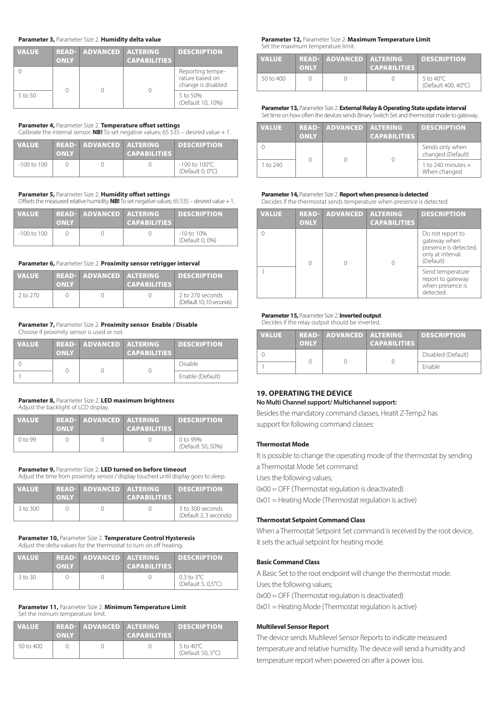#### **Parameter 3,** Parameter Size 2. **Humidity delta value**

| <b>VALUE</b> | <b>ONLY</b> | <b>READ- ADVANCED ALTERING</b> | <b>CAPABILITIES</b> | <b>DESCRIPTION</b>                                        |
|--------------|-------------|--------------------------------|---------------------|-----------------------------------------------------------|
|              |             |                                |                     | Reporting tempe-<br>rature based on<br>change is disabled |
| 5 to 50      |             |                                |                     | 5 to 50%<br>(Default 10, 10%)                             |

#### **Parameter 4,** Parameter Size 2. **Temperature offset settings** Calibrate the internal sensor. **NB!** To set negative values; 65 535 – desired value  $+1$ .

| <b>VALUE</b>    | <b>ONLY</b> | READ- ADVANCED ALTERING | <b>CAPABILITIES</b> | <b>DESCRIPTION</b>                            |
|-----------------|-------------|-------------------------|---------------------|-----------------------------------------------|
| $-100$ to $100$ |             |                         |                     | $-100$ to $100^{\circ}$ C<br>(Default 0, 0°C) |

#### **Parameter 5,** Parameter Size 2. **Humidity offset settings**

Offsets the measured relative humidity. **NB!** To set negative values; 65 535 – desired value + 1.

| <b>VALUE</b>    | <b>ONLY</b> | READ- ADVANCED ALTERING | <b>CAPABILITIES</b> | <b>DESCRIPTION</b>            |
|-----------------|-------------|-------------------------|---------------------|-------------------------------|
| $-100$ to $100$ |             |                         |                     | -10 to 10%<br>(Default 0, 0%) |

#### **Parameter 6,** Parameter Size 2. **Proximity sensor retrigger interval**

| <b>VALUE</b> | <b>ONLY</b> | READ- ADVANCED ALTERING | <b>CAPABILITIES</b> | <b>DESCRIPTION</b>                           |
|--------------|-------------|-------------------------|---------------------|----------------------------------------------|
| 2 to 270     |             |                         |                     | 2 to 270 seconds<br>(Default 10, 10 seconds) |

#### **Parameter 7,** Parameter Size 2. **Proximity sensor Enable / Disable** Choose if proximity sensor is used or not.

| <b>VALUE</b> | ONLY | <b>READ- ADVANCED ALTERING</b> | <b>CAPABILITIES</b> | <b>DESCRIPTION</b> |
|--------------|------|--------------------------------|---------------------|--------------------|
|              |      |                                |                     | Disable            |
|              |      |                                |                     | Enable (Default)   |

#### **Parameter 8,** Parameter Size 2. **LED maximum brightness** Adjust the backlight of LCD display.

| <b>VALUE</b>       | <b>ONLY</b> | READ- ADVANCED ALTERING | <b>CAPABILITIES</b> | <b>DESCRIPTION</b>            |
|--------------------|-------------|-------------------------|---------------------|-------------------------------|
| 0 <sub>to</sub> 99 |             |                         |                     | 0 to 99%<br>(Default 50, 50%) |

**Parameter 9,** Parameter Size 2. **LED turned on before timeout** Adjust the time from proximity sensor / display touched until display goes to sleep.

| <b>VALUE</b> | <b>ONLY</b> | <b>READ- ADVANCED ALTERING</b> | <b>CAPABILITIES</b> | <b>DESCRIPTION</b>                         |
|--------------|-------------|--------------------------------|---------------------|--------------------------------------------|
| 3 to 300     |             |                                |                     | 3 to 300 seconds<br>(Default 3, 3 seconds) |

#### **Parameter 10,** Parameter Size 2. **Temperature Control Hysteresis** Adjust the delta values for the thermostat to turn on off heating.

| <b>VALUE</b> | <b>LONLY</b> | READ- ADVANCED ALTERING | <b>CAPABILITIES</b> | <b>DESCRIPTION</b>                           |
|--------------|--------------|-------------------------|---------------------|----------------------------------------------|
| 3 to 30      |              |                         |                     | $0.3$ to $3^{\circ}$ C<br>(Default 5, 0.5°C) |

#### **Parameter 11,** Parameter Size 2. **Minimum Temperature Limit** Set the mimum temperature limit.

| <b>VALUE</b> | <b>ONLY</b> | <b>READ- ADVANCED ALTERING</b> | <b>CAPABILITIES</b> | <b>DESCRIPTION</b>                        |
|--------------|-------------|--------------------------------|---------------------|-------------------------------------------|
| 50 to 400    |             |                                |                     | 5 to 40 $^{\circ}$ C<br>(Default 50, 5°C) |

#### **Parameter 12,** Parameter Size 2. **Maximum Temperature Limit** Set the maximum temperature limit

| <b>VALUE</b>  | <b>ONLY</b> | <b>READ- ADVANCED ALTERING</b> | <b>CAPABILITIES</b> | <b>DESCRIPTION</b>                          |
|---------------|-------------|--------------------------------|---------------------|---------------------------------------------|
| $50$ to $400$ |             |                                |                     | 5 to 40 $^{\circ}$ C<br>(Default 400, 40°C) |

#### **Parameter 13,** Parameter Size 2. **External Relay & Operating State update interval**  Set time on how often the devices sends Binary Switch Set and

| bet time on money often the acyrecs senios binary by men bet and them rostat model to gate may. |      |                                |                     |                                      |  |  |
|-------------------------------------------------------------------------------------------------|------|--------------------------------|---------------------|--------------------------------------|--|--|
| <b>VALUE</b>                                                                                    | ONLY | <b>READ- ADVANCED ALTERING</b> | <b>CAPABILITIES</b> | <b>DESCRIPTION</b>                   |  |  |
|                                                                                                 |      |                                |                     | Sends only when<br>changed (Default) |  |  |
| 1 to 240                                                                                        |      |                                |                     | 1 to 240 minutes $+$<br>When changed |  |  |

### **Parameter 14,** Parameter Size 2. **Report when presence is detected**

Decides if the thermostat sends temperature when presence is detected.

| <b>VALUE</b> | <b>READ-</b><br><b>ONLY</b> | <b>ADVANCED</b> | <b>ALTERING</b><br><b>CAPABILITIES</b> | <b>DESCRIPTION</b>                                                                          |
|--------------|-----------------------------|-----------------|----------------------------------------|---------------------------------------------------------------------------------------------|
|              |                             |                 |                                        | Do not report to<br>gateway when<br>presence is detected,<br>only at interval.<br>(Default) |
|              |                             |                 |                                        | Send temperature<br>report to gateway<br>when presence is<br>detected.                      |

#### **Parameter 15,** Parameter Size 2. **Inverted output** Decides if the relay output should be inverted.

| <b>VALUE</b> | ONLY | READ- ADVANCED ALTERING | <b>CAPABILITIES</b> | <b>DESCRIPTION</b> |
|--------------|------|-------------------------|---------------------|--------------------|
|              |      |                         |                     | Disabled (Default) |
|              |      |                         |                     | Fnable             |

### **19. OPERATING THE DEVICE**

#### **No Multi Channel support/ Multichannel support:**

Besides the mandatory command classes, Heatit Z-Temp2 has support for following command classes:

#### **Thermostat Mode**

It is possible to change the operating mode of the thermostat by sending a Thermostat Mode Set command. Uses the following values; 0x00 = OFF (Thermostat regulation is deactivated)

0x01 = Heating Mode (Thermostat regulation is active)

#### **Thermostat Setpoint Command Class**

When a Thermostat Setpoint Set command is received by the root device, it sets the actual setpoint for heating mode.

#### **Basic Command Class**

A Basic Set to the root endpoint will change the thermostat mode. Uses the following values; 0x00 = OFF (Thermostat regulation is deactivated)

0x01 = Heating Mode (Thermostat regulation is active)

#### **Multilevel Sensor Report**

The device sends Multilevel Sensor Reports to indicate measured temperature and relative humidity. The device will send a humidity and temperature report when powered on after a power loss.